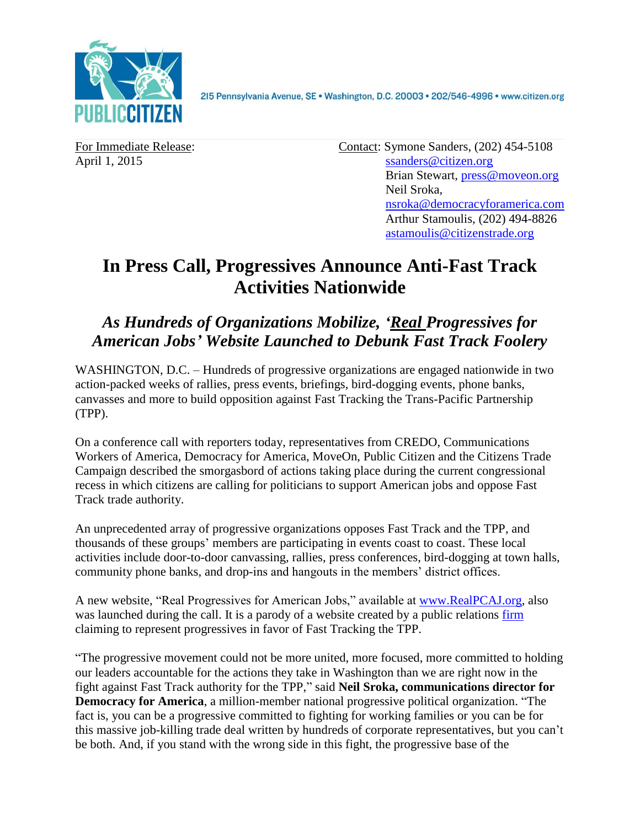

For Immediate Release: Contact: Symone Sanders, (202) 454-5108 April 1, 2015 [ssanders@citizen.org](mailto:ssanders@citizen.org) Brian Stewart, [press@moveon.org](mailto:press@moveon.org) Neil Sroka, [nsroka@democracyforamerica.com](mailto:nsroka@democracyforamerica.com) Arthur Stamoulis, (202) 494-8826 [astamoulis@citizenstrade.org](mailto:astamoulis@citizenstrade.org)

## **In Press Call, Progressives Announce Anti-Fast Track Activities Nationwide**

## *As Hundreds of Organizations Mobilize, 'Real Progressives for American Jobs' Website Launched to Debunk Fast Track Foolery*

WASHINGTON, D.C. – Hundreds of progressive organizations are engaged nationwide in two action-packed weeks of rallies, press events, briefings, bird-dogging events, phone banks, canvasses and more to build opposition against Fast Tracking the Trans-Pacific Partnership (TPP).

On a conference call with reporters today, representatives from CREDO, Communications Workers of America, Democracy for America, MoveOn, Public Citizen and the Citizens Trade Campaign described the smorgasbord of actions taking place during the current congressional recess in which citizens are calling for politicians to support American jobs and oppose Fast Track trade authority.

An unprecedented array of progressive organizations opposes Fast Track and the TPP, and thousands of these groups' members are participating in events coast to coast. These local activities include door-to-door canvassing, rallies, press conferences, bird-dogging at town halls, community phone banks, and drop-ins and hangouts in the members' district offices.

A new website, "Real Progressives for American Jobs," available at [www.RealPCAJ.org,](http://www.realpcaj.org/) also was launched during the call. It is a parody of a website created by a public relations [firm](http://270strategies.com/) claiming to represent progressives in favor of Fast Tracking the TPP.

"The progressive movement could not be more united, more focused, more committed to holding our leaders accountable for the actions they take in Washington than we are right now in the fight against Fast Track authority for the TPP," said **Neil Sroka, communications director for Democracy for America**, a million-member national progressive political organization. "The fact is, you can be a progressive committed to fighting for working families or you can be for this massive job-killing trade deal written by hundreds of corporate representatives, but you can't be both. And, if you stand with the wrong side in this fight, the progressive base of the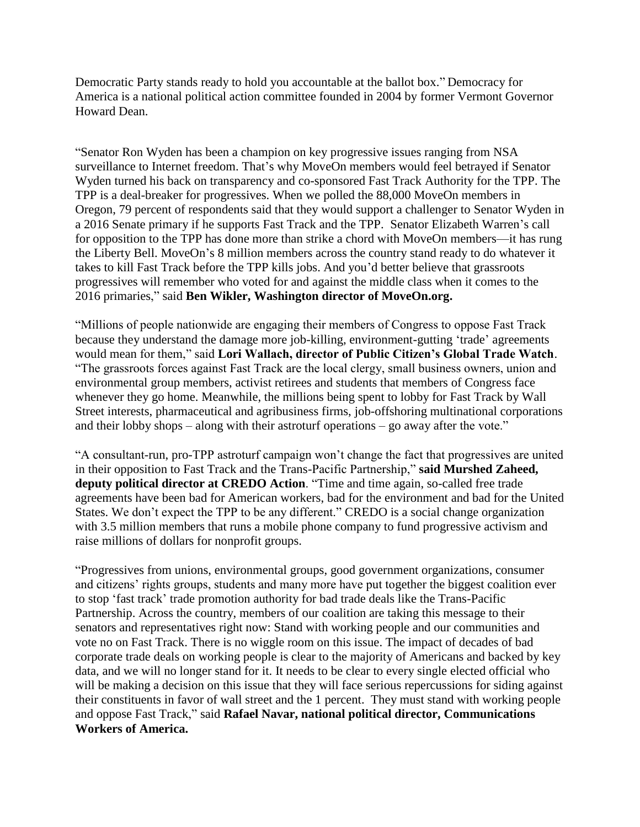Democratic Party stands ready to hold you accountable at the ballot box." Democracy for America is a national political action committee founded in 2004 by former Vermont Governor Howard Dean.

"Senator Ron Wyden has been a champion on key progressive issues ranging from NSA surveillance to Internet freedom. That's why MoveOn members would feel betrayed if Senator Wyden turned his back on transparency and co-sponsored Fast Track Authority for the TPP. The TPP is a deal-breaker for progressives. When we polled the 88,000 MoveOn members in Oregon, 79 percent of respondents said that they would support a challenger to Senator Wyden in a 2016 Senate primary if he supports Fast Track and the TPP. Senator Elizabeth Warren's call for opposition to the TPP has done more than strike a chord with MoveOn members—it has rung the Liberty Bell. MoveOn's 8 million members across the country stand ready to do whatever it takes to kill Fast Track before the TPP kills jobs. And you'd better believe that grassroots progressives will remember who voted for and against the middle class when it comes to the 2016 primaries," said **Ben Wikler, Washington director of MoveOn.org.**

"Millions of people nationwide are engaging their members of Congress to oppose Fast Track because they understand the damage more job-killing, environment-gutting 'trade' agreements would mean for them," said **Lori Wallach, director of Public Citizen's Global Trade Watch**. "The grassroots forces against Fast Track are the local clergy, small business owners, union and environmental group members, activist retirees and students that members of Congress face whenever they go home. Meanwhile, the millions being spent to lobby for Fast Track by Wall Street interests, pharmaceutical and agribusiness firms, job-offshoring multinational corporations and their lobby shops – along with their astroturf operations – go away after the vote."

"A consultant-run, pro-TPP astroturf campaign won't change the fact that progressives are united in their opposition to Fast Track and the Trans-Pacific Partnership," **said Murshed Zaheed, deputy political director at CREDO Action**. "Time and time again, so-called free trade agreements have been bad for American workers, bad for the environment and bad for the United States. We don't expect the TPP to be any different." CREDO is a social change organization with 3.5 million members that runs a mobile phone company to fund progressive activism and raise millions of dollars for nonprofit groups.

"Progressives from unions, environmental groups, good government organizations, consumer and citizens' rights groups, students and many more have put together the biggest coalition ever to stop 'fast track' trade promotion authority for bad trade deals like the Trans-Pacific Partnership. Across the country, members of our coalition are taking this message to their senators and representatives right now: Stand with working people and our communities and vote no on Fast Track. There is no wiggle room on this issue. The impact of decades of bad corporate trade deals on working people is clear to the majority of Americans and backed by key data, and we will no longer stand for it. It needs to be clear to every single elected official who will be making a decision on this issue that they will face serious repercussions for siding against their constituents in favor of wall street and the 1 percent. They must stand with working people and oppose Fast Track," said **Rafael Navar, national political director, Communications Workers of America.**